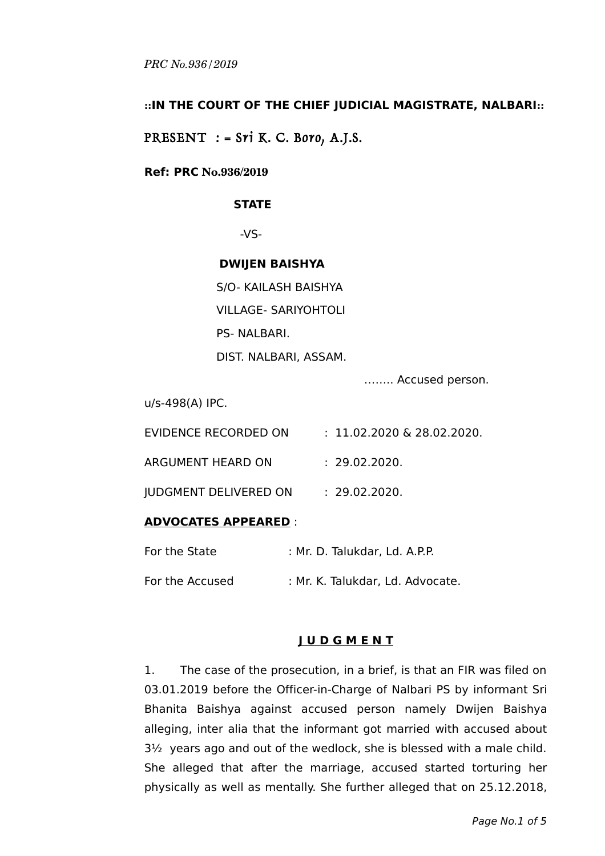## **::IN THE COURT OF THE CHIEF JUDICIAL MAGISTRATE, NALBARI::**

PRESENT  $:$  = Sri K. C. Boro, A.J.S.

#### **Ref: PRC No.936/2019**

#### **STATE**

-VS-

#### **DWIJEN BAISHYA**

S/O- KAILASH BAISHYA VILLAGE- SARIYOHTOLI PS- NALBARI. DIST. NALBARI, ASSAM.

…….. Accused person.

u/s-498(A) IPC.

| EVIDENCE RECORDED ON         | $: 11.02.2020 \& 28.02.2020.$ |
|------------------------------|-------------------------------|
| ARGUMENT HEARD ON            | : 29.02.2020.                 |
| <b>IUDGMENT DELIVERED ON</b> | : 29.02.2020.                 |

## **ADVOCATES APPEARED** :

| For the State   | : Mr. D. Talukdar, Ld. A.P.P.    |
|-----------------|----------------------------------|
| For the Accused | : Mr. K. Talukdar, Ld. Advocate. |

## **J U D G M E N T**

1. The case of the prosecution, in a brief, is that an FIR was filed on 03.01.2019 before the Officer-in-Charge of Nalbari PS by informant Sri Bhanita Baishya against accused person namely Dwijen Baishya alleging, inter alia that the informant got married with accused about 3½ years ago and out of the wedlock, she is blessed with a male child. She alleged that after the marriage, accused started torturing her physically as well as mentally. She further alleged that on 25.12.2018,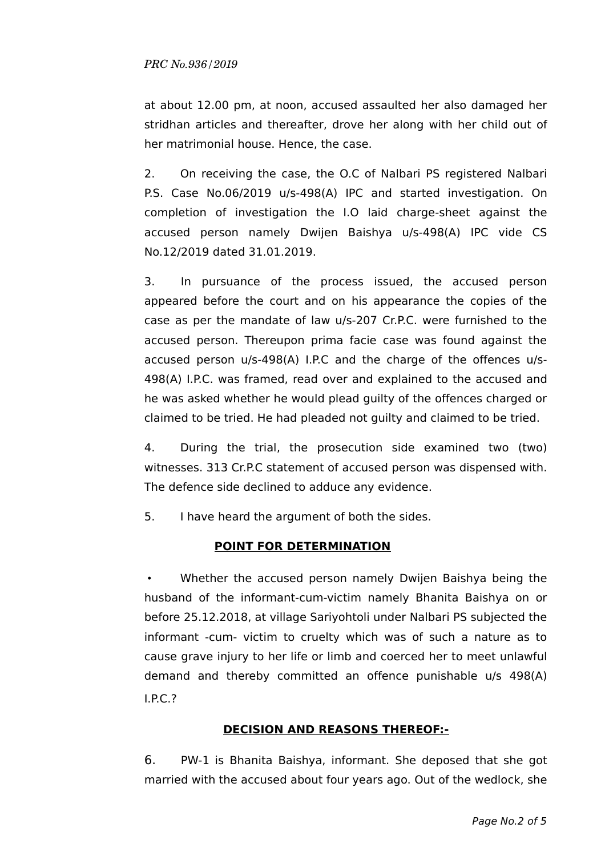at about 12.00 pm, at noon, accused assaulted her also damaged her stridhan articles and thereafter, drove her along with her child out of her matrimonial house. Hence, the case.

2. On receiving the case, the O.C of Nalbari PS registered Nalbari P.S. Case No.06/2019 u/s-498(A) IPC and started investigation. On completion of investigation the I.O laid charge-sheet against the accused person namely Dwijen Baishya u/s-498(A) IPC vide CS No.12/2019 dated 31.01.2019.

3. In pursuance of the process issued, the accused person appeared before the court and on his appearance the copies of the case as per the mandate of law u/s-207 Cr.P.C. were furnished to the accused person. Thereupon prima facie case was found against the accused person u/s-498(A) I.P.C and the charge of the offences u/s-498(A) I.P.C. was framed, read over and explained to the accused and he was asked whether he would plead guilty of the offences charged or claimed to be tried. He had pleaded not guilty and claimed to be tried.

4. During the trial, the prosecution side examined two (two) witnesses. 313 Cr.P.C statement of accused person was dispensed with. The defence side declined to adduce any evidence.

5. I have heard the argument of both the sides.

# **POINT FOR DETERMINATION**

• Whether the accused person namely Dwijen Baishya being the husband of the informant-cum-victim namely Bhanita Baishya on or before 25.12.2018, at village Sariyohtoli under Nalbari PS subjected the informant -cum- victim to cruelty which was of such a nature as to cause grave injury to her life or limb and coerced her to meet unlawful demand and thereby committed an offence punishable u/s 498(A) I.P.C.?

# **DECISION AND REASONS THEREOF:-**

6. PW-1 is Bhanita Baishya, informant. She deposed that she got married with the accused about four years ago. Out of the wedlock, she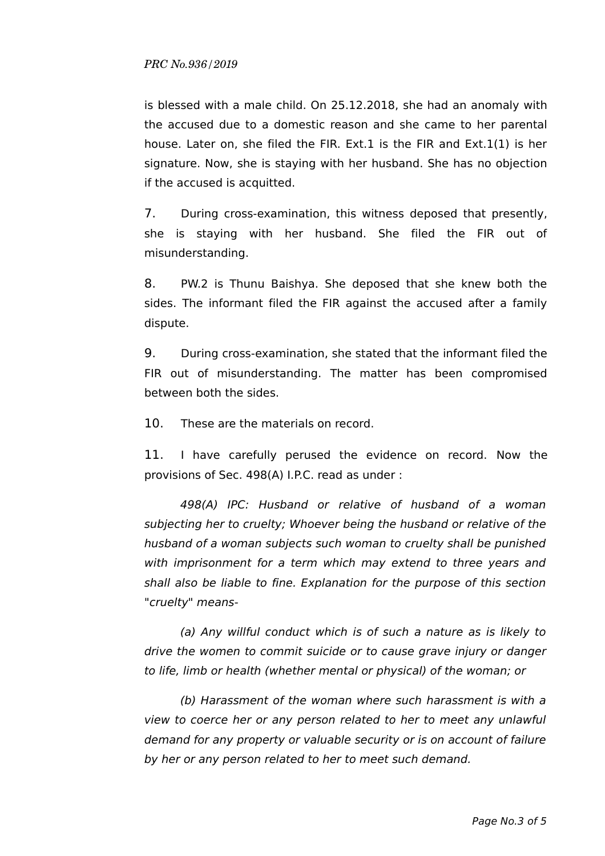is blessed with a male child. On 25.12.2018, she had an anomaly with the accused due to a domestic reason and she came to her parental house. Later on, she filed the FIR. Ext.1 is the FIR and Ext.1(1) is her signature. Now, she is staying with her husband. She has no objection if the accused is acquitted.

7. During cross-examination, this witness deposed that presently, she is staying with her husband. She filed the FIR out of misunderstanding.

8. PW.2 is Thunu Baishya. She deposed that she knew both the sides. The informant filed the FIR against the accused after a family dispute.

9. During cross-examination, she stated that the informant filed the FIR out of misunderstanding. The matter has been compromised between both the sides.

10. These are the materials on record.

11. I have carefully perused the evidence on record. Now the provisions of Sec. 498(A) I.P.C. read as under :

498(A) IPC: Husband or relative of husband of a woman subjecting her to cruelty; Whoever being the husband or relative of the husband of a woman subjects such woman to cruelty shall be punished with imprisonment for a term which may extend to three years and shall also be liable to fine. Explanation for the purpose of this section "cruelty" means-

(a) Any willful conduct which is of such a nature as is likely to drive the women to commit suicide or to cause grave injury or danger to life, limb or health (whether mental or physical) of the woman; or

(b) Harassment of the woman where such harassment is with a view to coerce her or any person related to her to meet any unlawful demand for any property or valuable security or is on account of failure by her or any person related to her to meet such demand.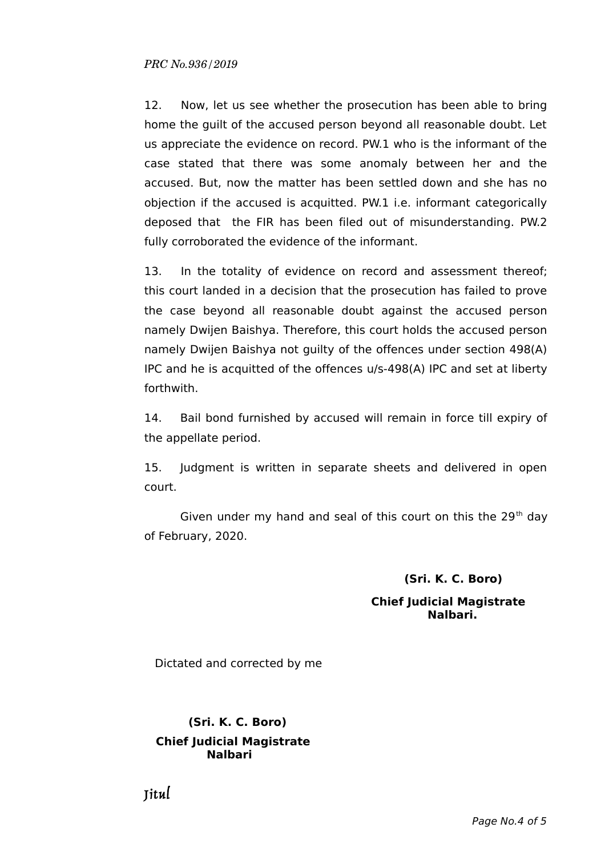12. Now, let us see whether the prosecution has been able to bring home the guilt of the accused person beyond all reasonable doubt. Let us appreciate the evidence on record. PW.1 who is the informant of the case stated that there was some anomaly between her and the accused. But, now the matter has been settled down and she has no objection if the accused is acquitted. PW.1 i.e. informant categorically deposed that the FIR has been filed out of misunderstanding. PW.2 fully corroborated the evidence of the informant.

13. In the totality of evidence on record and assessment thereof; this court landed in a decision that the prosecution has failed to prove the case beyond all reasonable doubt against the accused person namely Dwijen Baishya. Therefore, this court holds the accused person namely Dwijen Baishya not guilty of the offences under section 498(A) IPC and he is acquitted of the offences u/s-498(A) IPC and set at liberty forthwith.

14. Bail bond furnished by accused will remain in force till expiry of the appellate period.

15. Judgment is written in separate sheets and delivered in open court.

Given under my hand and seal of this court on this the  $29<sup>th</sup>$  day of February, 2020.

## **(Sri. K. C. Boro)**

#### **Chief Judicial Magistrate Nalbari.**

Dictated and corrected by me

# **(Sri. K. C. Boro) Chief Judicial Magistrate Nalbari**

Jitul